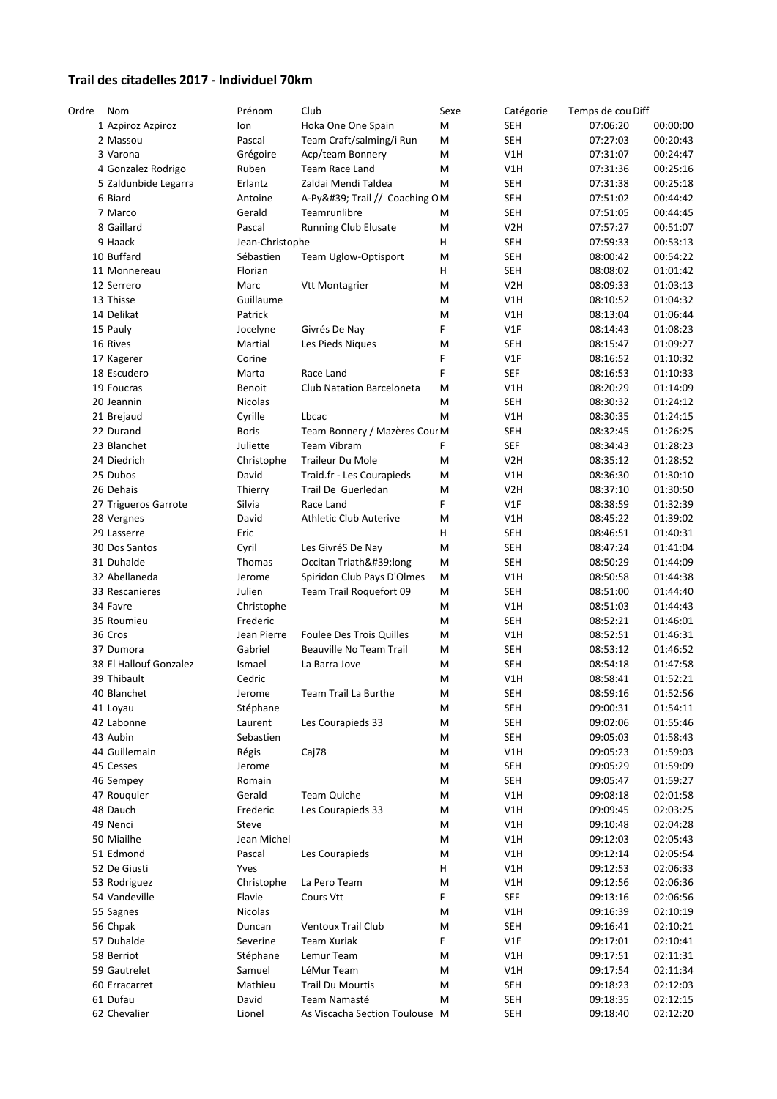## **Trail des citadelles 2017 ‐ Individuel 70km**

| Ordre | Nom                    | Prénom          | Club                            | Sexe | Catégorie        | Temps de cou Diff |          |
|-------|------------------------|-----------------|---------------------------------|------|------------------|-------------------|----------|
|       | 1 Azpiroz Azpiroz      | Ion             | Hoka One One Spain              | M    | <b>SEH</b>       | 07:06:20          | 00:00:00 |
|       | 2 Massou               | Pascal          | Team Craft/salming/i Run        | M    | <b>SEH</b>       | 07:27:03          | 00:20:43 |
|       | 3 Varona               | Grégoire        | Acp/team Bonnery                | Μ    | V1H              | 07:31:07          | 00:24:47 |
|       | 4 Gonzalez Rodrigo     | Ruben           | Team Race Land                  | Μ    | V1H              | 07:31:36          | 00:25:16 |
|       | 5 Zaldunbide Legarra   | Erlantz         | Zaldai Mendi Taldea             | M    | <b>SEH</b>       | 07:31:38          | 00:25:18 |
|       | 6 Biard                | Antoine         | A-Py' Trail // Coaching OM      |      | <b>SEH</b>       | 07:51:02          | 00:44:42 |
|       | 7 Marco                | Gerald          | Teamrunlibre                    | Μ    | <b>SEH</b>       | 07:51:05          | 00:44:45 |
|       | 8 Gaillard             | Pascal          | Running Club Elusate            | Μ    | V <sub>2</sub> H | 07:57:27          | 00:51:07 |
|       | 9 Haack                | Jean-Christophe |                                 | н    | <b>SEH</b>       | 07:59:33          | 00:53:13 |
|       |                        |                 |                                 |      |                  |                   |          |
|       | 10 Buffard             | Sébastien       | Team Uglow-Optisport            | Μ    | <b>SEH</b>       | 08:00:42          | 00:54:22 |
|       | 11 Monnereau           | Florian         |                                 | н    | <b>SEH</b>       | 08:08:02          | 01:01:42 |
|       | 12 Serrero             | Marc            | <b>Vtt Montagrier</b>           | Μ    | V <sub>2</sub> H | 08:09:33          | 01:03:13 |
|       | 13 Thisse              | Guillaume       |                                 | M    | V1H              | 08:10:52          | 01:04:32 |
|       | 14 Delikat             | Patrick         |                                 | M    | V1H              | 08:13:04          | 01:06:44 |
|       | 15 Pauly               | Jocelyne        | Givrés De Nay                   | F    | V1F              | 08:14:43          | 01:08:23 |
|       | 16 Rives               | Martial         | Les Pieds Niques                | M    | <b>SEH</b>       | 08:15:47          | 01:09:27 |
|       | 17 Kagerer             | Corine          |                                 | F    | V1F              | 08:16:52          | 01:10:32 |
|       | 18 Escudero            | Marta           | Race Land                       | F    | <b>SEF</b>       | 08:16:53          | 01:10:33 |
|       | 19 Foucras             | Benoit          | Club Natation Barceloneta       | Μ    | V1H              | 08:20:29          | 01:14:09 |
|       | 20 Jeannin             | Nicolas         |                                 | Μ    | <b>SEH</b>       | 08:30:32          | 01:24:12 |
|       | 21 Brejaud             | Cyrille         | Lbcac                           | Μ    | V1H              | 08:30:35          | 01:24:15 |
|       | 22 Durand              | <b>Boris</b>    | Team Bonnery / Mazères Cour M   |      | <b>SEH</b>       | 08:32:45          | 01:26:25 |
|       | 23 Blanchet            | Juliette        | Team Vibram                     | F    | <b>SEF</b>       | 08:34:43          | 01:28:23 |
|       | 24 Diedrich            | Christophe      | <b>Traileur Du Mole</b>         | Μ    | V <sub>2</sub> H | 08:35:12          | 01:28:52 |
|       | 25 Dubos               |                 |                                 |      | V1H              |                   | 01:30:10 |
|       |                        | David           | Traid.fr - Les Courapieds       | Μ    |                  | 08:36:30          |          |
|       | 26 Dehais              | Thierry         | Trail De Guerledan              | Μ    | V2H              | 08:37:10          | 01:30:50 |
|       | 27 Trigueros Garrote   | Silvia          | Race Land                       | F.   | V1F              | 08:38:59          | 01:32:39 |
|       | 28 Vergnes             | David           | Athletic Club Auterive          | M    | V1H              | 08:45:22          | 01:39:02 |
|       | 29 Lasserre            | Eric            |                                 | н    | <b>SEH</b>       | 08:46:51          | 01:40:31 |
|       | 30 Dos Santos          | Cyril           | Les GivréS De Nay               | M    | <b>SEH</b>       | 08:47:24          | 01:41:04 |
|       | 31 Duhalde             | Thomas          | Occitan Triath'long             | Μ    | <b>SEH</b>       | 08:50:29          | 01:44:09 |
|       | 32 Abellaneda          | Jerome          | Spiridon Club Pays D'Olmes      | Μ    | V1H              | 08:50:58          | 01:44:38 |
|       | 33 Rescanieres         | Julien          | Team Trail Roquefort 09         | Μ    | <b>SEH</b>       | 08:51:00          | 01:44:40 |
|       | 34 Favre               | Christophe      |                                 | Μ    | V1H              | 08:51:03          | 01:44:43 |
|       | 35 Roumieu             | Frederic        |                                 | Μ    | <b>SEH</b>       | 08:52:21          | 01:46:01 |
|       | 36 Cros                | Jean Pierre     | <b>Foulee Des Trois Quilles</b> | Μ    | V1H              | 08:52:51          | 01:46:31 |
|       | 37 Dumora              | Gabriel         | Beauville No Team Trail         | Μ    | <b>SEH</b>       | 08:53:12          | 01:46:52 |
|       | 38 El Hallouf Gonzalez | Ismael          | La Barra Jove                   | Μ    | <b>SEH</b>       | 08:54:18          | 01:47:58 |
|       | 39 Thibault            | Cedric          |                                 | M    | V1H              | 08:58:41          | 01:52:21 |
|       | 40 Blanchet            | Jerome          | Team Trail La Burthe            | M    | <b>SEH</b>       | 08:59:16          | 01:52:56 |
|       | 41 Loyau               | Stéphane        |                                 | М    | <b>SEH</b>       | 09:00:31          | 01:54:11 |
|       | 42 Labonne             | Laurent         | Les Courapieds 33               | Μ    | <b>SEH</b>       | 09:02:06          | 01:55:46 |
|       | 43 Aubin               | Sebastien       |                                 | М    | <b>SEH</b>       | 09:05:03          | 01:58:43 |
|       | 44 Guillemain          | Régis           | Caj78                           | Μ    | V1H              | 09:05:23          | 01:59:03 |
|       |                        |                 |                                 |      |                  |                   |          |
|       | 45 Cesses              | Jerome          |                                 | Μ    | <b>SEH</b>       | 09:05:29          | 01:59:09 |
|       | 46 Sempey              | Romain          |                                 | Μ    | <b>SEH</b>       | 09:05:47          | 01:59:27 |
|       | 47 Rouquier            | Gerald          | Team Quiche                     | М    | V1H              | 09:08:18          | 02:01:58 |
|       | 48 Dauch               | Frederic        | Les Courapieds 33               | М    | V1H              | 09:09:45          | 02:03:25 |
|       | 49 Nenci               | Steve           |                                 | Μ    | V1H              | 09:10:48          | 02:04:28 |
|       | 50 Miailhe             | Jean Michel     |                                 | Μ    | V1H              | 09:12:03          | 02:05:43 |
|       | 51 Edmond              | Pascal          | Les Courapieds                  | Μ    | V1H              | 09:12:14          | 02:05:54 |
|       | 52 De Giusti           | Yves            |                                 | н    | V1H              | 09:12:53          | 02:06:33 |
|       | 53 Rodriguez           | Christophe      | La Pero Team                    | M    | V1H              | 09:12:56          | 02:06:36 |
|       | 54 Vandeville          | Flavie          | Cours Vtt                       | F    | <b>SEF</b>       | 09:13:16          | 02:06:56 |
|       | 55 Sagnes              | Nicolas         |                                 | Μ    | V1H              | 09:16:39          | 02:10:19 |
|       | 56 Chpak               | Duncan          | Ventoux Trail Club              | M    | <b>SEH</b>       | 09:16:41          | 02:10:21 |
|       | 57 Duhalde             | Severine        | <b>Team Xuriak</b>              | F    | V1F              | 09:17:01          | 02:10:41 |
|       | 58 Berriot             | Stéphane        | Lemur Team                      | M    | V1H              | 09:17:51          | 02:11:31 |
|       | 59 Gautrelet           | Samuel          | LéMur Team                      | M    | V1H              | 09:17:54          | 02:11:34 |
|       | 60 Erracarret          | Mathieu         | <b>Trail Du Mourtis</b>         | Μ    | <b>SEH</b>       | 09:18:23          | 02:12:03 |
|       | 61 Dufau               | David           | Team Namasté                    |      |                  |                   |          |
|       |                        |                 |                                 | Μ    | <b>SEH</b>       | 09:18:35          | 02:12:15 |
|       | 62 Chevalier           | Lionel          | As Viscacha Section Toulouse M  |      | <b>SEH</b>       | 09:18:40          | 02:12:20 |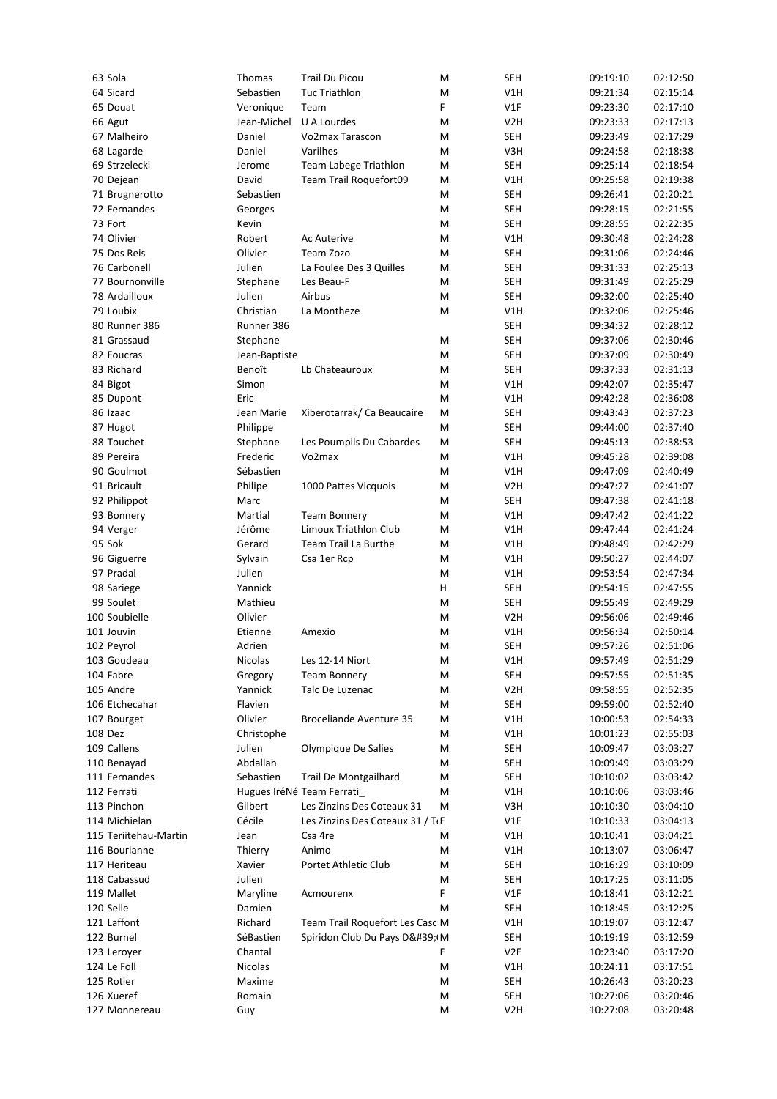| 63 Sola               | Thomas        | <b>Trail Du Picou</b>                         | M | <b>SEH</b>       | 09:19:10 | 02:12:50 |
|-----------------------|---------------|-----------------------------------------------|---|------------------|----------|----------|
| 64 Sicard             | Sebastien     | <b>Tuc Triathlon</b>                          | Μ | V1H              | 09:21:34 | 02:15:14 |
| 65 Douat              | Veronique     | Team                                          | F | V1F              | 09:23:30 | 02:17:10 |
| 66 Agut               | Jean-Michel   | U A Lourdes                                   | M | V <sub>2</sub> H | 09:23:33 | 02:17:13 |
| 67 Malheiro           | Daniel        | Vo2max Tarascon                               | M | <b>SEH</b>       | 09:23:49 | 02:17:29 |
| 68 Lagarde            | Daniel        | Varilhes                                      | M | V3H              | 09:24:58 | 02:18:38 |
| 69 Strzelecki         | Jerome        | Team Labege Triathlon                         | M | <b>SEH</b>       | 09:25:14 | 02:18:54 |
| 70 Dejean             | David         | Team Trail Roquefort09                        | Μ | V1H              | 09:25:58 | 02:19:38 |
| 71 Brugnerotto        | Sebastien     |                                               | Μ | <b>SEH</b>       | 09:26:41 | 02:20:21 |
| 72 Fernandes          | Georges       |                                               | Μ | <b>SEH</b>       | 09:28:15 | 02:21:55 |
| 73 Fort               | Kevin         |                                               | M | <b>SEH</b>       | 09:28:55 | 02:22:35 |
| 74 Olivier            | Robert        | Ac Auterive                                   | Μ | V1H              | 09:30:48 | 02:24:28 |
| 75 Dos Reis           | Olivier       | Team Zozo                                     | M | <b>SEH</b>       | 09:31:06 | 02:24:46 |
| 76 Carbonell          | Julien        | La Foulee Des 3 Quilles                       | Μ | <b>SEH</b>       | 09:31:33 | 02:25:13 |
| 77 Bournonville       | Stephane      | Les Beau-F                                    | Μ | <b>SEH</b>       | 09:31:49 | 02:25:29 |
| 78 Ardailloux         | Julien        | Airbus                                        | M | <b>SEH</b>       | 09:32:00 | 02:25:40 |
|                       |               |                                               |   |                  |          |          |
| 79 Loubix             | Christian     | La Montheze                                   | Μ | V1H              | 09:32:06 | 02:25:46 |
| 80 Runner 386         | Runner 386    |                                               |   | <b>SEH</b>       | 09:34:32 | 02:28:12 |
| 81 Grassaud           | Stephane      |                                               | Μ | <b>SEH</b>       | 09:37:06 | 02:30:46 |
| 82 Foucras            | Jean-Baptiste |                                               | Μ | <b>SEH</b>       | 09:37:09 | 02:30:49 |
| 83 Richard            | Benoît        | Lb Chateauroux                                | M | <b>SEH</b>       | 09:37:33 | 02:31:13 |
| 84 Bigot              | Simon         |                                               | M | V1H              | 09:42:07 | 02:35:47 |
| 85 Dupont             | Eric          |                                               | M | V1H              | 09:42:28 | 02:36:08 |
| 86 Izaac              | Jean Marie    | Xiberotarrak/ Ca Beaucaire                    | Μ | <b>SEH</b>       | 09:43:43 | 02:37:23 |
| 87 Hugot              | Philippe      |                                               | M | <b>SEH</b>       | 09:44:00 | 02:37:40 |
| 88 Touchet            | Stephane      | Les Poumpils Du Cabardes                      | M | <b>SEH</b>       | 09:45:13 | 02:38:53 |
| 89 Pereira            | Frederic      | Vo2max                                        | M | V1H              | 09:45:28 | 02:39:08 |
| 90 Goulmot            | Sébastien     |                                               | M | V1H              | 09:47:09 | 02:40:49 |
| 91 Bricault           | Philipe       | 1000 Pattes Vicquois                          | M | V <sub>2</sub> H | 09:47:27 | 02:41:07 |
| 92 Philippot          | Marc          |                                               | M | <b>SEH</b>       | 09:47:38 | 02:41:18 |
| 93 Bonnery            | Martial       | <b>Team Bonnery</b>                           | Μ | V1H              | 09:47:42 | 02:41:22 |
| 94 Verger             | Jérôme        | Limoux Triathlon Club                         | M | V1H              | 09:47:44 | 02:41:24 |
| 95 Sok                | Gerard        | Team Trail La Burthe                          | M | V1H              | 09:48:49 | 02:42:29 |
| 96 Giguerre           | Sylvain       | Csa 1er Rcp                                   | M | V1H              | 09:50:27 | 02:44:07 |
| 97 Pradal             | Julien        |                                               | M | V1H              | 09:53:54 | 02:47:34 |
| 98 Sariege            | Yannick       |                                               | н | <b>SEH</b>       | 09:54:15 | 02:47:55 |
| 99 Soulet             | Mathieu       |                                               | Μ | <b>SEH</b>       | 09:55:49 | 02:49:29 |
| 100 Soubielle         | Olivier       |                                               |   | V <sub>2</sub> H | 09:56:06 | 02:49:46 |
|                       |               |                                               | Μ |                  |          | 02:50:14 |
| 101 Jouvin            | Etienne       | Amexio                                        | M | V1H              | 09:56:34 |          |
| 102 Peyrol            | Adrien        |                                               | Μ | <b>SEH</b>       | 09:57:26 | 02:51:06 |
| 103 Goudeau           | Nicolas       | Les 12-14 Niort                               | М | V1H              | 09:57:49 | 02:51:29 |
| 104 Fabre             | Gregory       | <b>Team Bonnery</b>                           | Μ | <b>SEH</b>       | 09:57:55 | 02:51:35 |
| 105 Andre             | Yannick       | Talc De Luzenac                               | М | V <sub>2</sub> H | 09:58:55 | 02:52:35 |
| 106 Etchecahar        | Flavien       |                                               | М | <b>SEH</b>       | 09:59:00 | 02:52:40 |
| 107 Bourget           | Olivier       | Broceliande Aventure 35                       | Μ | V1H              | 10:00:53 | 02:54:33 |
| 108 Dez               | Christophe    |                                               | Μ | V1H              | 10:01:23 | 02:55:03 |
| 109 Callens           | Julien        | Olympique De Salies                           | М | <b>SEH</b>       | 10:09:47 | 03:03:27 |
| 110 Benayad           | Abdallah      |                                               | Μ | <b>SEH</b>       | 10:09:49 | 03:03:29 |
| 111 Fernandes         | Sebastien     | <b>Trail De Montgailhard</b>                  | Μ | <b>SEH</b>       | 10:10:02 | 03:03:42 |
| 112 Ferrati           |               | Hugues IréNé Team Ferrati                     | Μ | V1H              | 10:10:06 | 03:03:46 |
| 113 Pinchon           | Gilbert       | Les Zinzins Des Coteaux 31                    | Μ | V3H              | 10:10:30 | 03:04:10 |
| 114 Michielan         | Cécile        | Les Zinzins Des Coteaux 31 / T <sub>I</sub> F |   | V1F              | 10:10:33 | 03:04:13 |
| 115 Teriitehau-Martin | Jean          | Csa 4re                                       | Μ | V1H              | 10:10:41 | 03:04:21 |
| 116 Bourianne         | Thierry       | Animo                                         | Μ | V1H              | 10:13:07 | 03:06:47 |
| 117 Heriteau          | Xavier        | Portet Athletic Club                          | M | <b>SEH</b>       | 10:16:29 | 03:10:09 |
| 118 Cabassud          | Julien        |                                               | M | <b>SEH</b>       | 10:17:25 | 03:11:05 |
| 119 Mallet            | Maryline      | Acmourenx                                     | F | V1F              | 10:18:41 | 03:12:21 |
| 120 Selle             | Damien        |                                               | Μ | <b>SEH</b>       | 10:18:45 | 03:12:25 |
|                       |               |                                               |   |                  |          |          |
| 121 Laffont           | Richard       | Team Trail Roquefort Les Casc M               |   | V1H              | 10:19:07 | 03:12:47 |
| 122 Burnel            | SéBastien     | Spiridon Club Du Pays D' M                    |   | <b>SEH</b>       | 10:19:19 | 03:12:59 |
| 123 Leroyer           | Chantal       |                                               | F | V <sub>2F</sub>  | 10:23:40 | 03:17:20 |
| 124 Le Foll           | Nicolas       |                                               | Μ | V1H              | 10:24:11 | 03:17:51 |
| 125 Rotier            | Maxime        |                                               | Μ | <b>SEH</b>       | 10:26:43 | 03:20:23 |
| 126 Xueref            | Romain        |                                               | Μ | <b>SEH</b>       | 10:27:06 | 03:20:46 |
| 127 Monnereau         | Guy           |                                               | Μ | V <sub>2</sub> H | 10:27:08 | 03:20:48 |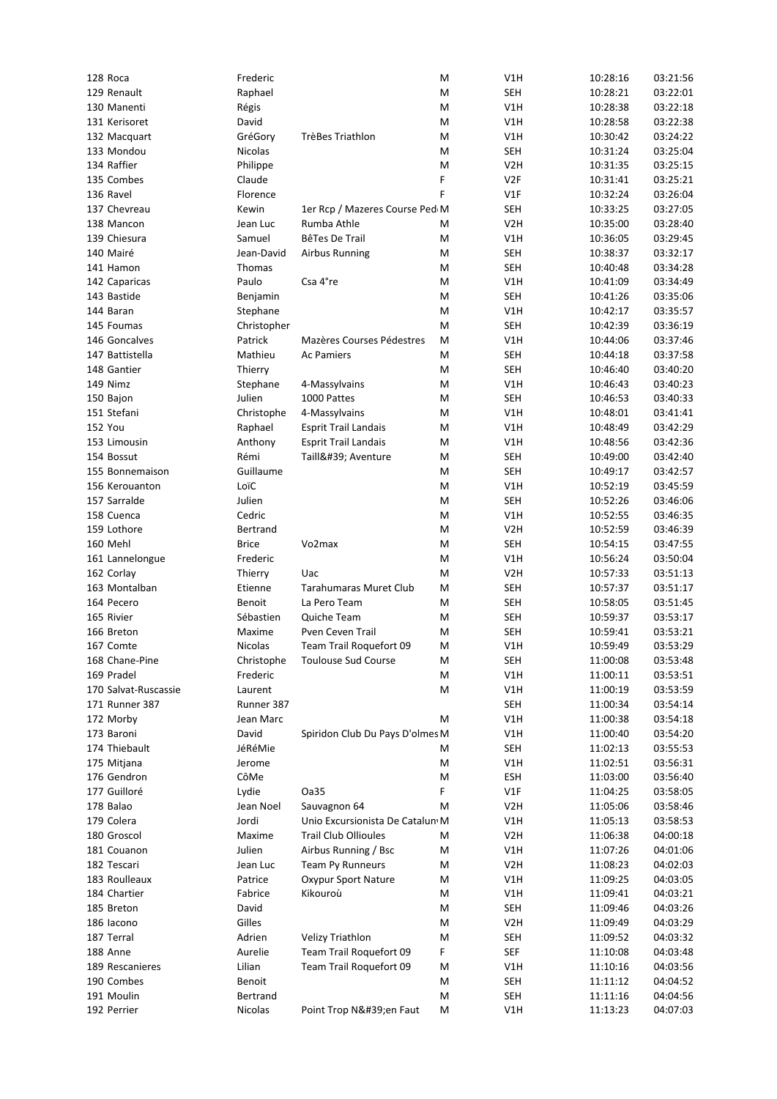| 128 Roca             | Frederic     |                                 | Μ | V1H              | 10:28:16 | 03:21:56 |
|----------------------|--------------|---------------------------------|---|------------------|----------|----------|
| 129 Renault          | Raphael      |                                 | Μ | <b>SEH</b>       | 10:28:21 | 03:22:01 |
| 130 Manenti          | Régis        |                                 | M | V1H              | 10:28:38 | 03:22:18 |
| 131 Kerisoret        | David        |                                 | Μ | V1H              | 10:28:58 | 03:22:38 |
| 132 Macquart         | GréGory      | <b>TrèBes Triathlon</b>         | Μ | V1H              | 10:30:42 | 03:24:22 |
| 133 Mondou           | Nicolas      |                                 | M | <b>SEH</b>       | 10:31:24 | 03:25:04 |
| 134 Raffier          | Philippe     |                                 | M | V <sub>2</sub> H | 10:31:35 | 03:25:15 |
| 135 Combes           | Claude       |                                 | F | V <sub>2F</sub>  | 10:31:41 | 03:25:21 |
| 136 Ravel            | Florence     |                                 | F | V1F              | 10:32:24 | 03:26:04 |
| 137 Chevreau         | Kewin        | 1er Rcp / Mazeres Course Ped M  |   | <b>SEH</b>       | 10:33:25 | 03:27:05 |
| 138 Mancon           | Jean Luc     | Rumba Athle                     | M | V <sub>2</sub> H | 10:35:00 | 03:28:40 |
| 139 Chiesura         | Samuel       | BêTes De Trail                  | M | V1H              | 10:36:05 | 03:29:45 |
| 140 Mairé            | Jean-David   | <b>Airbus Running</b>           | Μ | <b>SEH</b>       | 10:38:37 | 03:32:17 |
| 141 Hamon            | Thomas       |                                 | M | <b>SEH</b>       | 10:40:48 | 03:34:28 |
| 142 Caparicas        | Paulo        | Csa 4°re                        | Μ | V1H              | 10:41:09 | 03:34:49 |
| 143 Bastide          | Benjamin     |                                 | Μ | <b>SEH</b>       | 10:41:26 | 03:35:06 |
| 144 Baran            | Stephane     |                                 | M | V1H              | 10:42:17 | 03:35:57 |
| 145 Foumas           | Christopher  |                                 | M | <b>SEH</b>       | 10:42:39 | 03:36:19 |
| 146 Goncalves        | Patrick      | Mazères Courses Pédestres       | M | V1H              | 10:44:06 | 03:37:46 |
| 147 Battistella      | Mathieu      | <b>Ac Pamiers</b>               | Μ | <b>SEH</b>       | 10:44:18 | 03:37:58 |
| 148 Gantier          | Thierry      |                                 | M | <b>SEH</b>       | 10:46:40 | 03:40:20 |
| 149 Nimz             | Stephane     | 4-Massylvains                   | M | V1H              | 10:46:43 | 03:40:23 |
| 150 Bajon            | Julien       | 1000 Pattes                     | Μ | <b>SEH</b>       | 10:46:53 | 03:40:33 |
| 151 Stefani          | Christophe   | 4-Massylvains                   | Μ | V1H              | 10:48:01 | 03:41:41 |
| <b>152 You</b>       | Raphael      | <b>Esprit Trail Landais</b>     | M | V1H              | 10:48:49 | 03:42:29 |
| 153 Limousin         | Anthony      | <b>Esprit Trail Landais</b>     | Μ | V1H              | 10:48:56 | 03:42:36 |
| 154 Bossut           | Rémi         | Taill' Aventure                 | Μ | <b>SEH</b>       | 10:49:00 | 03:42:40 |
| 155 Bonnemaison      | Guillaume    |                                 | M | <b>SEH</b>       | 10:49:17 | 03:42:57 |
| 156 Kerouanton       | LoïC         |                                 | Μ | V1H              | 10:52:19 | 03:45:59 |
| 157 Sarralde         | Julien       |                                 | Μ | <b>SEH</b>       | 10:52:26 | 03:46:06 |
| 158 Cuenca           | Cedric       |                                 | Μ | V1H              | 10:52:55 | 03:46:35 |
| 159 Lothore          | Bertrand     |                                 | M | V <sub>2</sub> H | 10:52:59 | 03:46:39 |
| 160 Mehl             | <b>Brice</b> | Vo2max                          | Μ | <b>SEH</b>       | 10:54:15 | 03:47:55 |
| 161 Lannelongue      | Frederic     |                                 | M | V1H              | 10:56:24 | 03:50:04 |
| 162 Corlay           | Thierry      | Uac                             | M | V <sub>2</sub> H | 10:57:33 | 03:51:13 |
| 163 Montalban        | Etienne      | Tarahumaras Muret Club          | Μ | <b>SEH</b>       | 10:57:37 | 03:51:17 |
| 164 Pecero           | Benoit       | La Pero Team                    | Μ | <b>SEH</b>       | 10:58:05 | 03:51:45 |
| 165 Rivier           | Sébastien    | Quiche Team                     | Μ | <b>SEH</b>       | 10:59:37 | 03:53:17 |
| 166 Breton           | Maxime       | Pven Ceven Trail                | M | <b>SEH</b>       | 10:59:41 | 03:53:21 |
| 167 Comte            | Nicolas      | Team Trail Roquefort 09         | M | V1H              | 10:59:49 | 03:53:29 |
| 168 Chane-Pine       | Christophe   | <b>Toulouse Sud Course</b>      | М | <b>SEH</b>       | 11:00:08 | 03:53:48 |
| 169 Pradel           | Frederic     |                                 | М | V1H              | 11:00:11 | 03:53:51 |
| 170 Salvat-Ruscassie | Laurent      |                                 | М | V1H              | 11:00:19 | 03:53:59 |
| 171 Runner 387       | Runner 387   |                                 |   | <b>SEH</b>       | 11:00:34 | 03:54:14 |
| 172 Morby            | Jean Marc    |                                 | Μ | V1H              | 11:00:38 | 03:54:18 |
| 173 Baroni           | David        | Spiridon Club Du Pays D'olmes M |   | V1H              | 11:00:40 | 03:54:20 |
| 174 Thiebault        | JéRéMie      |                                 | Μ | <b>SEH</b>       | 11:02:13 | 03:55:53 |
| 175 Mitjana          | Jerome       |                                 | Μ | V1H              | 11:02:51 | 03:56:31 |
| 176 Gendron          | CôMe         |                                 | M | <b>ESH</b>       | 11:03:00 | 03:56:40 |
| 177 Guilloré         | Lydie        | Oa35                            | F | V1F              | 11:04:25 | 03:58:05 |
| 178 Balao            | Jean Noel    | Sauvagnon 64                    | Μ | V <sub>2</sub> H | 11:05:06 | 03:58:46 |
| 179 Colera           | Jordi        | Unio Excursionista De Catalun M |   | V1H              | 11:05:13 | 03:58:53 |
| 180 Groscol          | Maxime       | <b>Trail Club Ollioules</b>     | Μ | V <sub>2</sub> H | 11:06:38 | 04:00:18 |
| 181 Couanon          | Julien       | Airbus Running / Bsc            | М | V1H              | 11:07:26 | 04:01:06 |
| 182 Tescari          | Jean Luc     | Team Py Runneurs                | М | V <sub>2</sub> H | 11:08:23 | 04:02:03 |
| 183 Roulleaux        | Patrice      | Oxypur Sport Nature             | М | V1H              | 11:09:25 | 04:03:05 |
| 184 Chartier         | Fabrice      | Kikouroù                        | Μ | V1H              | 11:09:41 | 04:03:21 |
| 185 Breton           | David        |                                 | Μ | <b>SEH</b>       | 11:09:46 | 04:03:26 |
| 186 Iacono           | Gilles       |                                 | Μ | V <sub>2</sub> H | 11:09:49 | 04:03:29 |
| 187 Terral           | Adrien       | Velizy Triathlon                | М | <b>SEH</b>       | 11:09:52 | 04:03:32 |
| 188 Anne             | Aurelie      | Team Trail Roquefort 09         | F | <b>SEF</b>       | 11:10:08 | 04:03:48 |
| 189 Rescanieres      | Lilian       | Team Trail Roquefort 09         | Μ | V1H              | 11:10:16 | 04:03:56 |
| 190 Combes           | Benoit       |                                 | M | <b>SEH</b>       | 11:11:12 | 04:04:52 |
| 191 Moulin           | Bertrand     |                                 | M | <b>SEH</b>       | 11:11:16 | 04:04:56 |
| 192 Perrier          | Nicolas      | Point Trop N'en Faut            | M | V1H              | 11:13:23 | 04:07:03 |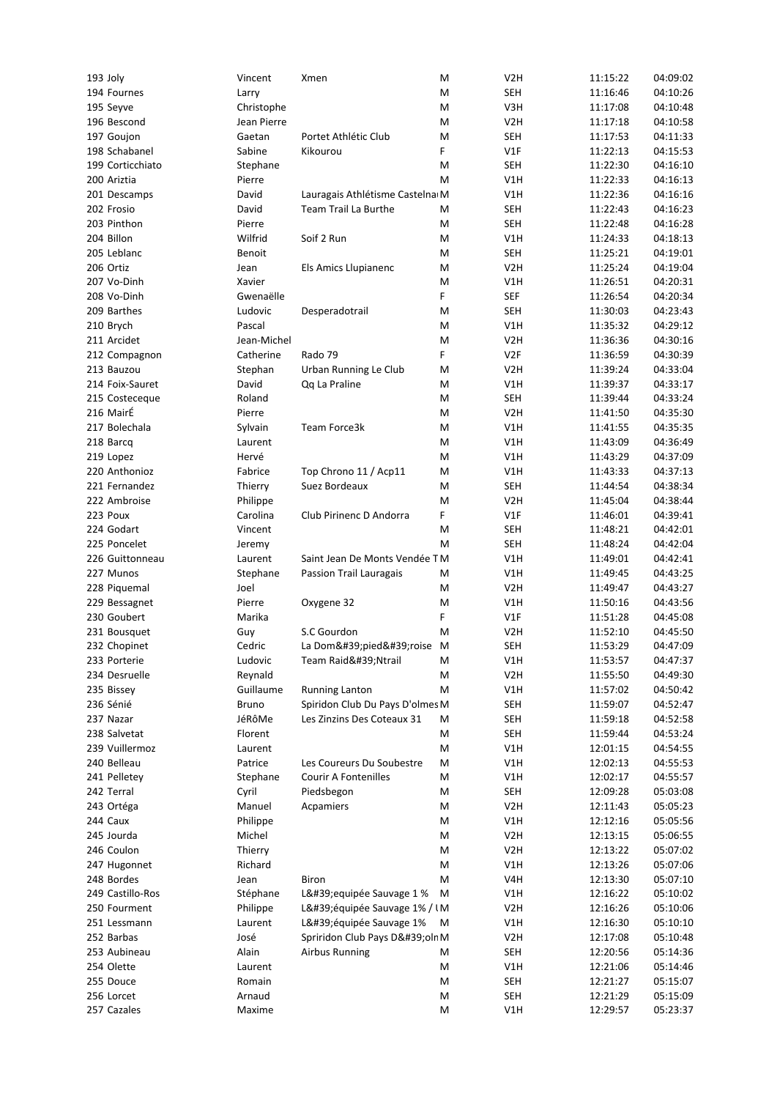| 193 Joly                  | Vincent          | Xmen                            | Μ      | V2H               | 11:15:22             | 04:09:02             |
|---------------------------|------------------|---------------------------------|--------|-------------------|----------------------|----------------------|
| 194 Fournes               | Larry            |                                 | Μ      | <b>SEH</b>        | 11:16:46             | 04:10:26             |
| 195 Seyve                 | Christophe       |                                 | M      | V3H               | 11:17:08             | 04:10:48             |
| 196 Bescond               | Jean Pierre      |                                 | Μ      | V <sub>2</sub> H  | 11:17:18             | 04:10:58             |
| 197 Goujon                | Gaetan           | Portet Athlétic Club            | Μ      | <b>SEH</b>        | 11:17:53             | 04:11:33             |
| 198 Schabanel             | Sabine           | Kikourou                        | F      | V1F               | 11:22:13             | 04:15:53             |
| 199 Corticchiato          | Stephane         |                                 | M      | <b>SEH</b>        | 11:22:30             | 04:16:10             |
| 200 Ariztia               | Pierre           |                                 | Μ      | V1H               | 11:22:33             | 04:16:13             |
| 201 Descamps              | David            | Lauragais Athlétisme Castelna M |        | V1H               | 11:22:36             | 04:16:16             |
| 202 Frosio                | David            | Team Trail La Burthe            | Μ      | <b>SEH</b>        | 11:22:43             | 04:16:23             |
| 203 Pinthon               | Pierre           |                                 | M      | <b>SEH</b>        | 11:22:48             | 04:16:28             |
| 204 Billon                | Wilfrid          | Soif 2 Run                      | M      | V1H               | 11:24:33             | 04:18:13             |
|                           |                  |                                 |        | <b>SEH</b>        | 11:25:21             | 04:19:01             |
| 205 Leblanc               | Benoit           |                                 | Μ      |                   |                      |                      |
| 206 Ortiz                 | Jean             | Els Amics Llupianenc            | Μ      | V <sub>2</sub> H  | 11:25:24             | 04:19:04             |
| 207 Vo-Dinh               | Xavier           |                                 | M      | V1H               | 11:26:51             | 04:20:31             |
| 208 Vo-Dinh               | Gwenaëlle        |                                 | F      | <b>SEF</b>        | 11:26:54             | 04:20:34             |
| 209 Barthes               | Ludovic          | Desperadotrail                  | M      | <b>SEH</b>        | 11:30:03             | 04:23:43             |
| 210 Brych                 | Pascal           |                                 | Μ      | V1H               | 11:35:32             | 04:29:12             |
| 211 Arcidet               | Jean-Michel      |                                 | M      | V <sub>2</sub> H  | 11:36:36             | 04:30:16             |
| 212 Compagnon             | Catherine        | Rado 79                         | F      | V <sub>2F</sub>   | 11:36:59             | 04:30:39             |
| 213 Bauzou                | Stephan          | Urban Running Le Club           | M      | V <sub>2</sub> H  | 11:39:24             | 04:33:04             |
| 214 Foix-Sauret           | David            | Qq La Praline                   | Μ      | V1H               | 11:39:37             | 04:33:17             |
| 215 Costeceque            | Roland           |                                 | Μ      | <b>SEH</b>        | 11:39:44             | 04:33:24             |
| 216 MairÉ                 | Pierre           |                                 | M      | V <sub>2</sub> H  | 11:41:50             | 04:35:30             |
| 217 Bolechala             | Sylvain          | Team Force3k                    | Μ      | V1H               | 11:41:55             | 04:35:35             |
| 218 Barcq                 | Laurent          |                                 | Μ      | V1H               | 11:43:09             | 04:36:49             |
| 219 Lopez                 | Hervé            |                                 | M      | V1H               | 11:43:29             | 04:37:09             |
| 220 Anthonioz             | Fabrice          |                                 |        |                   |                      | 04:37:13             |
|                           |                  | Top Chrono 11 / Acp11           | M      | V1H               | 11:43:33             |                      |
| 221 Fernandez             | Thierry          | Suez Bordeaux                   | Μ      | <b>SEH</b>        | 11:44:54             | 04:38:34             |
| 222 Ambroise              | Philippe         |                                 | M      | V <sub>2</sub> H  | 11:45:04             | 04:38:44             |
| 223 Poux                  | Carolina         | Club Pirinenc D Andorra         | F      | V1F               | 11:46:01             | 04:39:41             |
| 224 Godart                | Vincent          |                                 | M      | <b>SEH</b>        | 11:48:21             | 04:42:01             |
| 225 Poncelet              | Jeremy           |                                 | M      | <b>SEH</b>        | 11:48:24             | 04:42:04             |
| 226 Guittonneau           | Laurent          | Saint Jean De Monts Vendée TM   |        | V1H               | 11:49:01             | 04:42:41             |
| 227 Munos                 | Stephane         | Passion Trail Lauragais         | Μ      | V1H               | 11:49:45             | 04:43:25             |
| 228 Piquemal              | Joel             |                                 | Μ      | V <sub>2</sub> H  | 11:49:47             | 04:43:27             |
| 229 Bessagnet             | Pierre           | Oxygene 32                      | M      | V1H               | 11:50:16             | 04:43:56             |
| 230 Goubert               | Marika           |                                 | F      | V1F               | 11:51:28             | 04:45:08             |
| 231 Bousquet              | Guy              | S.C Gourdon                     | Μ      | V <sub>2</sub> H  | 11:52:10             | 04:45:50             |
| 232 Chopinet              | Cedric           | La Dom'pied'roise M             |        | <b>SEH</b>        | 11:53:29             | 04:47:09             |
| 233 Porterie              | Ludovic          | Team Raid'Ntrail                | М      | V1H               | 11:53:57             | 04:47:37             |
| 234 Desruelle             | Reynald          |                                 | M      | V <sub>2</sub> H  | 11:55:50             | 04:49:30             |
| 235 Bissey                | Guillaume        | <b>Running Lanton</b>           | M      | V1H               | 11:57:02             | 04:50:42             |
| 236 Sénié                 | Bruno            | Spiridon Club Du Pays D'olmes M |        | <b>SEH</b>        | 11:59:07             | 04:52:47             |
|                           | JéRôMe           | Les Zinzins Des Coteaux 31      |        |                   |                      |                      |
| 237 Nazar                 |                  |                                 | Μ      | <b>SEH</b>        | 11:59:18             | 04:52:58             |
| 238 Salvetat              | Florent          |                                 | M      | <b>SEH</b>        | 11:59:44             | 04:53:24             |
| 239 Vuillermoz            | Laurent          |                                 | Μ      | V1H               | 12:01:15             | 04:54:55             |
| 240 Belleau               | Patrice          | Les Coureurs Du Soubestre       | Μ      | V1H               | 12:02:13             | 04:55:53             |
| 241 Pelletey              | Stephane         | <b>Courir A Fontenilles</b>     | Μ      | V1H               | 12:02:17             | 04:55:57             |
| 242 Terral                | Cyril            | Piedsbegon                      | Μ      | <b>SEH</b>        | 12:09:28             | 05:03:08             |
| 243 Ortéga                | Manuel           | Acpamiers                       | Μ      | V <sub>2</sub> H  | 12:11:43             | 05:05:23             |
| 244 Caux                  | Philippe         |                                 | Μ      | V1H               | 12:12:16             | 05:05:56             |
| 245 Jourda                | Michel           |                                 | Μ      | V <sub>2</sub> H  | 12:13:15             | 05:06:55             |
| 246 Coulon                | Thierry          |                                 | Μ      | V <sub>2</sub> H  | 12:13:22             | 05:07:02             |
| 247 Hugonnet              | Richard          |                                 | Μ      | V1H               | 12:13:26             | 05:07:06             |
| 248 Bordes                | Jean             | Biron                           | M      | V4H               | 12:13:30             | 05:07:10             |
| 249 Castillo-Ros          | Stéphane         | L' equipée Sauvage 1 %          | M      | V1H               | 12:16:22             | 05:10:02             |
| 250 Fourment              | Philippe         | L'équipée Sauvage 1% / IM       |        | V <sub>2</sub> H  | 12:16:26             | 05:10:06             |
| 251 Lessmann              | Laurent          | L'équipée Sauvage 1%            | M      | V1H               | 12:16:30             | 05:10:10             |
| 252 Barbas                | José             | Spriridon Club Pays D'oln M     |        | V <sub>2</sub> H  | 12:17:08             | 05:10:48             |
| 253 Aubineau              | Alain            | <b>Airbus Running</b>           | Μ      | <b>SEH</b>        | 12:20:56             | 05:14:36             |
| 254 Olette                |                  |                                 |        |                   |                      |                      |
|                           |                  |                                 |        |                   |                      |                      |
|                           | Laurent          |                                 | Μ      | V1H               | 12:21:06             | 05:14:46             |
| 255 Douce                 | Romain           |                                 | Μ      | <b>SEH</b>        | 12:21:27             | 05:15:07             |
| 256 Lorcet<br>257 Cazales | Arnaud<br>Maxime |                                 | M<br>Μ | <b>SEH</b><br>V1H | 12:21:29<br>12:29:57 | 05:15:09<br>05:23:37 |